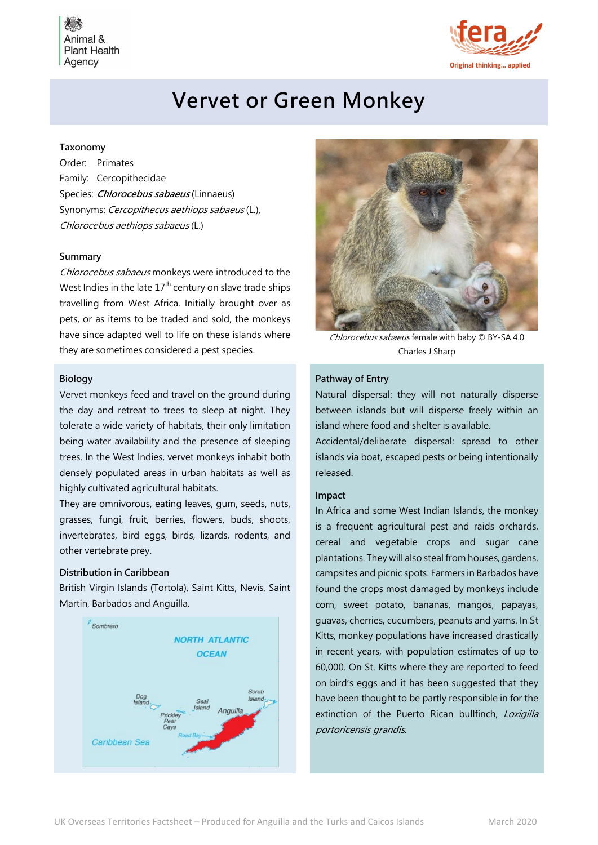Animal & **Plant Health** Agency



# Vervet or Green Monkey

# Taxonomy

Order: Primates Family: Cercopithecidae Species: *Chlorocebus sabaeus* (Linnaeus) Synonyms: Cercopithecus aethiops sabaeus (L.), Chlorocebus aethiops sabaeus (L.)

# Summary

Chlorocebus sabaeus monkeys were introduced to the West Indies in the late  $17<sup>th</sup>$  century on slave trade ships travelling from West Africa. Initially brought over as pets, or as items to be traded and sold, the monkeys have since adapted well to life on these islands where they are sometimes considered a pest species.

#### Biology

Vervet monkeys feed and travel on the ground during the day and retreat to trees to sleep at night. They tolerate a wide variety of habitats, their only limitation being water availability and the presence of sleeping trees. In the West Indies, vervet monkeys inhabit both densely populated areas in urban habitats as well as highly cultivated agricultural habitats.

They are omnivorous, eating leaves, gum, seeds, nuts, grasses, fungi, fruit, berries, flowers, buds, shoots, invertebrates, bird eggs, birds, lizards, rodents, and other vertebrate prey.

### Distribution in Caribbean

British Virgin Islands (Tortola), Saint Kitts, Nevis, Saint Martin, Barbados and Anguilla.





Chlorocebus sabaeus female with baby  $©$  BY-SA 4.0 Charles J Sharp

#### Pathway of Entry

Natural dispersal: they will not naturally disperse between islands but will disperse freely within an island where food and shelter is available.

Accidental/deliberate dispersal: spread to other islands via boat, escaped pests or being intentionally released.

#### Impact

In Africa and some West Indian Islands, the monkey is a frequent agricultural pest and raids orchards, cereal and vegetable crops and sugar cane plantations. They will also steal from houses, gardens, campsites and picnic spots. Farmers in Barbados have found the crops most damaged by monkeys include corn, sweet potato, bananas, mangos, papayas, guavas, cherries, cucumbers, peanuts and yams. In St Kitts, monkey populations have increased drastically in recent years, with population estimates of up to 60,000. On St. Kitts where they are reported to feed on bird's eggs and it has been suggested that they have been thought to be partly responsible in for the extinction of the Puerto Rican bullfinch, Loxigilla portoricensis grandis.